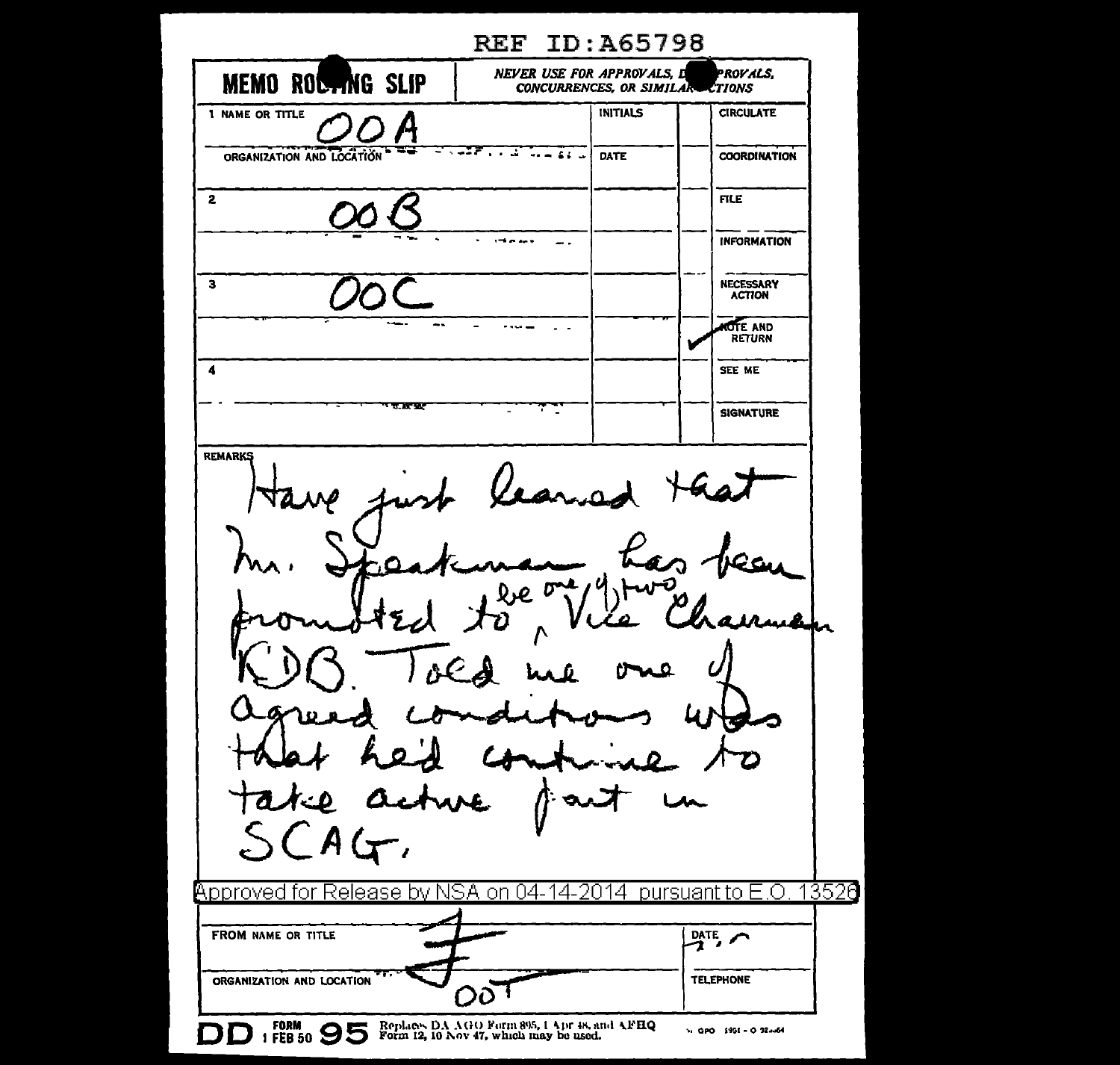**REF ID: A65798** NEVER USE FOR APPROVALS, D PROVALS. MEMO ROCTING SLIP CONCURRENCES, OR SIMILAR CTIONS **INITIALS CIRCULATE** 1 NAME OR TITLE <u>ਬਾਰਡੋਟੋ ਜਾ ਕਾਰਜ ਸਿੰਘ</u> ≈ ORGANIZATION AND LOCATION **COORDINATION** DATE  $\overline{2}$ **FILE INFORMATION**  $1 - 1 - 1 = 1$  $\overline{\phantom{a}}$ . NECESSARY  $\overline{\mathbf{3}}$ **ACTION OTE AND**  $\ldots$ RETURN  $\blacktriangleleft$ SEE ME 7.8797 **SIGNATURE REMARKS**  $CAG$ <code>Approved</code> for Release by NSA on 04-14-2014  $\,$  pursuant to E.O. 13526 FROM NAME OR TITLE  $\frac{DATE}{2}$ **TELEPHONE** ORGANIZATION AND LOCATION ΟÕ DD 1 FORM 90 95 Replaces DA AGO Form 895, 1 Apr #8, and AFHQ Vi GPO 1951 - O 323-64